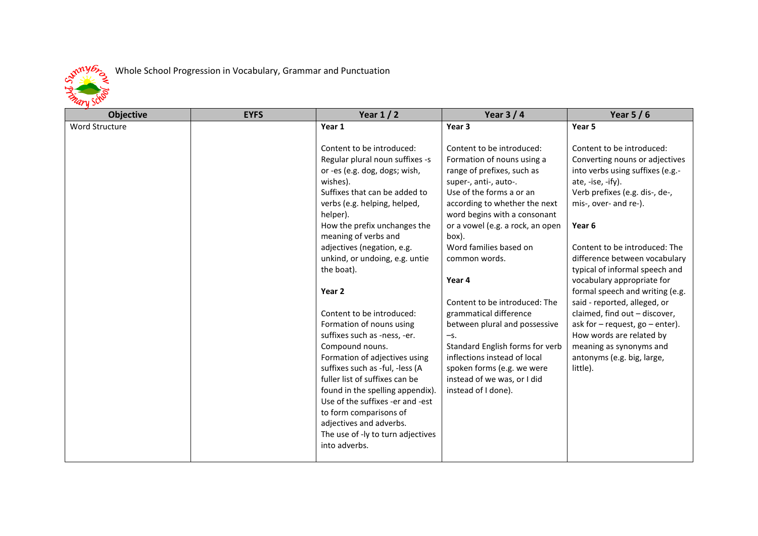

## Whole School Progression in Vocabulary, Grammar and Punctuation

| <b>Objective</b> | <b>EYFS</b> | Year $1/2$                                                                                                                                                                                                                                                                                                                                                                                                  | Year $3/4$                                                                                                                                                                                                                                               | Year $5/6$                                                                                                                                                                                                                               |
|------------------|-------------|-------------------------------------------------------------------------------------------------------------------------------------------------------------------------------------------------------------------------------------------------------------------------------------------------------------------------------------------------------------------------------------------------------------|----------------------------------------------------------------------------------------------------------------------------------------------------------------------------------------------------------------------------------------------------------|------------------------------------------------------------------------------------------------------------------------------------------------------------------------------------------------------------------------------------------|
| Word Structure   |             | Year 1                                                                                                                                                                                                                                                                                                                                                                                                      | Year 3                                                                                                                                                                                                                                                   | Year 5                                                                                                                                                                                                                                   |
|                  |             | Content to be introduced:<br>Regular plural noun suffixes -s<br>or -es (e.g. dog, dogs; wish,<br>wishes).<br>Suffixes that can be added to<br>verbs (e.g. helping, helped,<br>helper).<br>How the prefix unchanges the<br>meaning of verbs and                                                                                                                                                              | Content to be introduced:<br>Formation of nouns using a<br>range of prefixes, such as<br>super-, anti-, auto-.<br>Use of the forms a or an<br>according to whether the next<br>word begins with a consonant<br>or a vowel (e.g. a rock, an open<br>box). | Content to be introduced:<br>Converting nouns or adjectives<br>into verbs using suffixes (e.g.-<br>ate, -ise, -ify).<br>Verb prefixes (e.g. dis-, de-,<br>mis-, over- and re-).<br>Year <sub>6</sub>                                     |
|                  |             | adjectives (negation, e.g.<br>unkind, or undoing, e.g. untie<br>the boat).                                                                                                                                                                                                                                                                                                                                  | Word families based on<br>common words.<br>Year 4                                                                                                                                                                                                        | Content to be introduced: The<br>difference between vocabulary<br>typical of informal speech and<br>vocabulary appropriate for                                                                                                           |
|                  |             | Year 2<br>Content to be introduced:<br>Formation of nouns using<br>suffixes such as -ness, -er.<br>Compound nouns.<br>Formation of adjectives using<br>suffixes such as -ful, -less (A<br>fuller list of suffixes can be<br>found in the spelling appendix).<br>Use of the suffixes -er and -est<br>to form comparisons of<br>adjectives and adverbs.<br>The use of -ly to turn adjectives<br>into adverbs. | Content to be introduced: The<br>grammatical difference<br>between plural and possessive<br>$-S.$<br>Standard English forms for verb<br>inflections instead of local<br>spoken forms (e.g. we were<br>instead of we was, or I did<br>instead of I done). | formal speech and writing (e.g.<br>said - reported, alleged, or<br>claimed, find out - discover,<br>ask for $-$ request, go $-$ enter).<br>How words are related by<br>meaning as synonyms and<br>antonyms (e.g. big, large,<br>little). |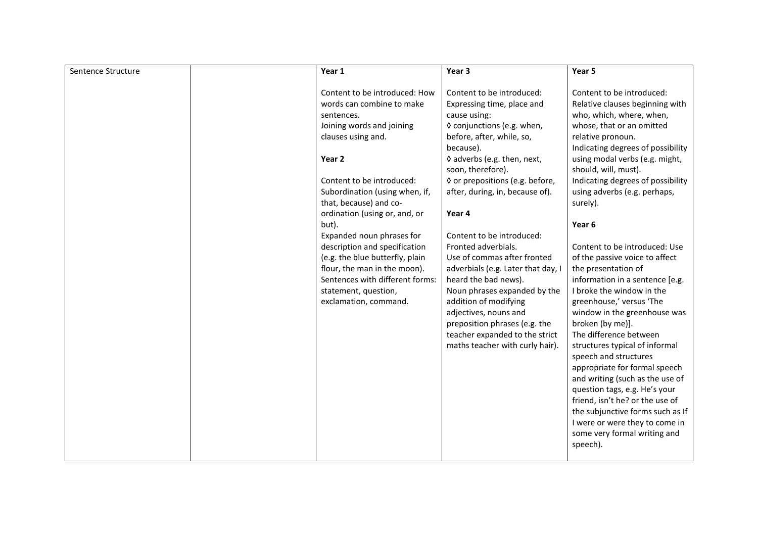| Sentence Structure | Year 1                                                                                                                                                                                                                                                                                                                                                                                                                                                                               | Year 3                                                                                                                                                                                                                                                                                                                                                                                                                                                                                                                                                                                                                       | Year 5                                                                                                                                                                                                                                                                                                                                                                                                                                                                                                                                                                                                                                                                                                                                                                                                                                                                                                            |
|--------------------|--------------------------------------------------------------------------------------------------------------------------------------------------------------------------------------------------------------------------------------------------------------------------------------------------------------------------------------------------------------------------------------------------------------------------------------------------------------------------------------|------------------------------------------------------------------------------------------------------------------------------------------------------------------------------------------------------------------------------------------------------------------------------------------------------------------------------------------------------------------------------------------------------------------------------------------------------------------------------------------------------------------------------------------------------------------------------------------------------------------------------|-------------------------------------------------------------------------------------------------------------------------------------------------------------------------------------------------------------------------------------------------------------------------------------------------------------------------------------------------------------------------------------------------------------------------------------------------------------------------------------------------------------------------------------------------------------------------------------------------------------------------------------------------------------------------------------------------------------------------------------------------------------------------------------------------------------------------------------------------------------------------------------------------------------------|
| but).              | Content to be introduced: How<br>words can combine to make<br>sentences.<br>Joining words and joining<br>clauses using and.<br>Year 2<br>Content to be introduced:<br>Subordination (using when, if,<br>that, because) and co-<br>ordination (using or, and, or<br>Expanded noun phrases for<br>description and specification<br>(e.g. the blue butterfly, plain<br>flour, the man in the moon).<br>Sentences with different forms:<br>statement, question,<br>exclamation, command. | Content to be introduced:<br>Expressing time, place and<br>cause using:<br>◊ conjunctions (e.g. when,<br>before, after, while, so,<br>because).<br>◊ adverbs (e.g. then, next,<br>soon, therefore).<br>◊ or prepositions (e.g. before,<br>after, during, in, because of).<br>Year 4<br>Content to be introduced:<br>Fronted adverbials.<br>Use of commas after fronted<br>adverbials (e.g. Later that day, I<br>heard the bad news).<br>Noun phrases expanded by the<br>addition of modifying<br>adjectives, nouns and<br>preposition phrases (e.g. the<br>teacher expanded to the strict<br>maths teacher with curly hair). | Content to be introduced:<br>Relative clauses beginning with<br>who, which, where, when,<br>whose, that or an omitted<br>relative pronoun.<br>Indicating degrees of possibility<br>using modal verbs (e.g. might,<br>should, will, must).<br>Indicating degrees of possibility<br>using adverbs (e.g. perhaps,<br>surely).<br>Year 6<br>Content to be introduced: Use<br>of the passive voice to affect<br>the presentation of<br>information in a sentence [e.g.<br>I broke the window in the<br>greenhouse,' versus 'The<br>window in the greenhouse was<br>broken (by me)].<br>The difference between<br>structures typical of informal<br>speech and structures<br>appropriate for formal speech<br>and writing (such as the use of<br>question tags, e.g. He's your<br>friend, isn't he? or the use of<br>the subjunctive forms such as If<br>I were or were they to come in<br>some very formal writing and |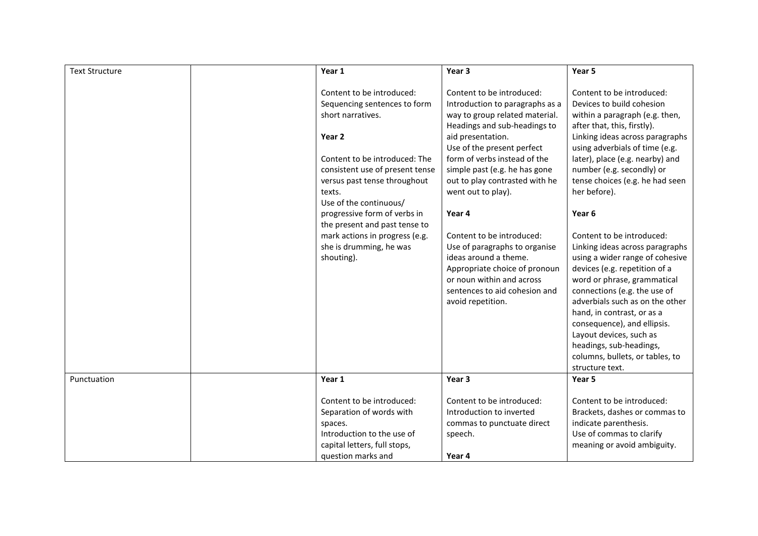| <b>Text Structure</b> | Year 1                                                                                                                                                                                                                                                                                                                                                                       | Year 3                                                                                                                                                                                                                                                                                                                                                                                                                                                                                                                          | Year 5                                                                                                                                                                                                                                                                                                                                                                                                                                                                                                                                                                                                                                                                                                                                              |
|-----------------------|------------------------------------------------------------------------------------------------------------------------------------------------------------------------------------------------------------------------------------------------------------------------------------------------------------------------------------------------------------------------------|---------------------------------------------------------------------------------------------------------------------------------------------------------------------------------------------------------------------------------------------------------------------------------------------------------------------------------------------------------------------------------------------------------------------------------------------------------------------------------------------------------------------------------|-----------------------------------------------------------------------------------------------------------------------------------------------------------------------------------------------------------------------------------------------------------------------------------------------------------------------------------------------------------------------------------------------------------------------------------------------------------------------------------------------------------------------------------------------------------------------------------------------------------------------------------------------------------------------------------------------------------------------------------------------------|
|                       | Content to be introduced:<br>Sequencing sentences to form<br>short narratives.<br>Year 2<br>Content to be introduced: The<br>consistent use of present tense<br>versus past tense throughout<br>texts.<br>Use of the continuous/<br>progressive form of verbs in<br>the present and past tense to<br>mark actions in progress (e.g.<br>she is drumming, he was<br>shouting). | Content to be introduced:<br>Introduction to paragraphs as a<br>way to group related material.<br>Headings and sub-headings to<br>aid presentation.<br>Use of the present perfect<br>form of verbs instead of the<br>simple past (e.g. he has gone<br>out to play contrasted with he<br>went out to play).<br>Year 4<br>Content to be introduced:<br>Use of paragraphs to organise<br>ideas around a theme.<br>Appropriate choice of pronoun<br>or noun within and across<br>sentences to aid cohesion and<br>avoid repetition. | Content to be introduced:<br>Devices to build cohesion<br>within a paragraph (e.g. then,<br>after that, this, firstly).<br>Linking ideas across paragraphs<br>using adverbials of time (e.g.<br>later), place (e.g. nearby) and<br>number (e.g. secondly) or<br>tense choices (e.g. he had seen<br>her before).<br>Year <sub>6</sub><br>Content to be introduced:<br>Linking ideas across paragraphs<br>using a wider range of cohesive<br>devices (e.g. repetition of a<br>word or phrase, grammatical<br>connections (e.g. the use of<br>adverbials such as on the other<br>hand, in contrast, or as a<br>consequence), and ellipsis.<br>Layout devices, such as<br>headings, sub-headings,<br>columns, bullets, or tables, to<br>structure text. |
| Punctuation           | Year 1                                                                                                                                                                                                                                                                                                                                                                       | Year 3                                                                                                                                                                                                                                                                                                                                                                                                                                                                                                                          | Year 5                                                                                                                                                                                                                                                                                                                                                                                                                                                                                                                                                                                                                                                                                                                                              |
|                       | Content to be introduced:<br>Separation of words with<br>spaces.<br>Introduction to the use of<br>capital letters, full stops,<br>question marks and                                                                                                                                                                                                                         | Content to be introduced:<br>Introduction to inverted<br>commas to punctuate direct<br>speech.<br>Year 4                                                                                                                                                                                                                                                                                                                                                                                                                        | Content to be introduced:<br>Brackets, dashes or commas to<br>indicate parenthesis.<br>Use of commas to clarify<br>meaning or avoid ambiguity.                                                                                                                                                                                                                                                                                                                                                                                                                                                                                                                                                                                                      |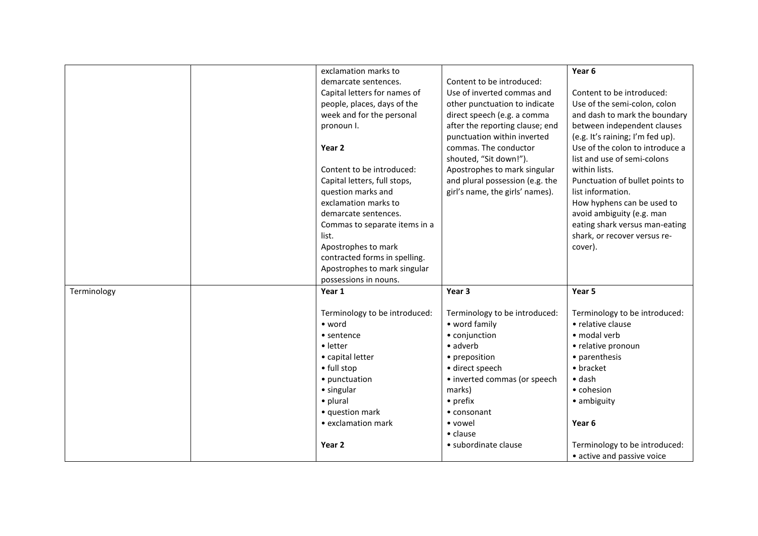|             | exclamation marks to          |                                 | Year <sub>6</sub>                |
|-------------|-------------------------------|---------------------------------|----------------------------------|
|             | demarcate sentences.          | Content to be introduced:       |                                  |
|             | Capital letters for names of  | Use of inverted commas and      | Content to be introduced:        |
|             | people, places, days of the   | other punctuation to indicate   | Use of the semi-colon, colon     |
|             |                               |                                 |                                  |
|             | week and for the personal     | direct speech (e.g. a comma     | and dash to mark the boundary    |
|             | pronoun I.                    | after the reporting clause; end | between independent clauses      |
|             |                               | punctuation within inverted     | (e.g. It's raining; I'm fed up). |
|             | Year 2                        | commas. The conductor           | Use of the colon to introduce a  |
|             |                               | shouted, "Sit down!").          | list and use of semi-colons      |
|             | Content to be introduced:     | Apostrophes to mark singular    | within lists.                    |
|             | Capital letters, full stops,  | and plural possession (e.g. the | Punctuation of bullet points to  |
|             | question marks and            | girl's name, the girls' names). | list information.                |
|             | exclamation marks to          |                                 | How hyphens can be used to       |
|             | demarcate sentences.          |                                 | avoid ambiguity (e.g. man        |
|             | Commas to separate items in a |                                 | eating shark versus man-eating   |
|             | list.                         |                                 | shark, or recover versus re-     |
|             | Apostrophes to mark           |                                 | cover).                          |
|             | contracted forms in spelling. |                                 |                                  |
|             | Apostrophes to mark singular  |                                 |                                  |
|             | possessions in nouns.         |                                 |                                  |
| Terminology | Year 1                        | Year 3                          | Year 5                           |
|             |                               |                                 |                                  |
|             | Terminology to be introduced: | Terminology to be introduced:   | Terminology to be introduced:    |
|             | • word                        | • word family                   | • relative clause                |
|             | • sentence                    | • conjunction                   | · modal verb                     |
|             | • letter                      | • adverb                        | • relative pronoun               |
|             | • capital letter              | • preposition                   | • parenthesis                    |
|             | • full stop                   | · direct speech                 | • bracket                        |
|             | • punctuation                 | • inverted commas (or speech    | $\bullet$ dash                   |
|             | • singular                    | marks)                          | • cohesion                       |
|             | • plural                      | • prefix                        | • ambiguity                      |
|             | • question mark               | • consonant                     |                                  |
|             | • exclamation mark            | • vowel                         | Year 6                           |
|             |                               | $\bullet$ clause                |                                  |
|             | Year 2                        | • subordinate clause            | Terminology to be introduced:    |
|             |                               |                                 | • active and passive voice       |